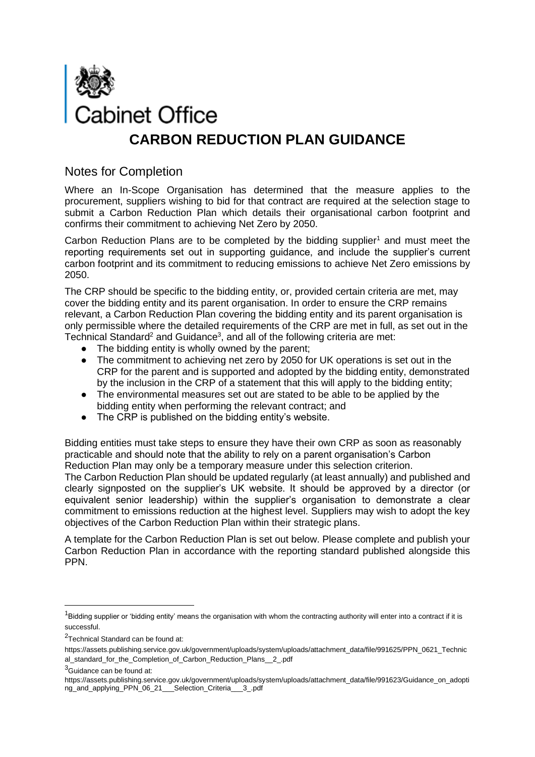

## Notes for Completion

Where an In-Scope Organisation has determined that the measure applies to the procurement, suppliers wishing to bid for that contract are required at the selection stage to submit a Carbon Reduction Plan which details their organisational carbon footprint and confirms their commitment to achieving Net Zero by 2050.

Carbon Reduction Plans are to be completed by the bidding supplier<sup>1</sup> and must meet the reporting requirements set out in supporting guidance, and include the supplier's current carbon footprint and its commitment to reducing emissions to achieve Net Zero emissions by 2050.

The CRP should be specific to the bidding entity, or, provided certain criteria are met, may cover the bidding entity and its parent organisation. In order to ensure the CRP remains relevant, a Carbon Reduction Plan covering the bidding entity and its parent organisation is only permissible where the detailed requirements of the CRP are met in full, as set out in the Technical Standard<sup>2</sup> and Guidance<sup>3</sup>, and all of the following criteria are met:

- The bidding entity is wholly owned by the parent;
- The commitment to achieving net zero by 2050 for UK operations is set out in the CRP for the parent and is supported and adopted by the bidding entity, demonstrated by the inclusion in the CRP of a statement that this will apply to the bidding entity;
- The environmental measures set out are stated to be able to be applied by the bidding entity when performing the relevant contract; and
- The CRP is published on the bidding entity's website.

Bidding entities must take steps to ensure they have their own CRP as soon as reasonably practicable and should note that the ability to rely on a parent organisation's Carbon Reduction Plan may only be a temporary measure under this selection criterion.

The Carbon Reduction Plan should be updated regularly (at least annually) and published and clearly signposted on the supplier's UK website. It should be approved by a director (or equivalent senior leadership) within the supplier's organisation to demonstrate a clear commitment to emissions reduction at the highest level. Suppliers may wish to adopt the key objectives of the Carbon Reduction Plan within their strategic plans.

A template for the Carbon Reduction Plan is set out below. Please complete and publish your Carbon Reduction Plan in accordance with the reporting standard published alongside this PPN.

 $1$ Bidding supplier or 'bidding entity' means the organisation with whom the contracting authority will enter into a contract if it is successful.

<sup>&</sup>lt;sup>2</sup>Technical Standard can be found at:

https://assets.publishing.service.gov.uk/government/uploads/system/uploads/attachment\_data/file/991625/PPN\_0621\_Technic al\_standard\_for\_the\_Completion\_of\_Carbon\_Reduction\_Plans\_\_2\_.pdf

<sup>&</sup>lt;sup>3</sup>Guidance can be found at:

https://assets.publishing.service.gov.uk/government/uploads/system/uploads/attachment\_data/file/991623/Guidance\_on\_adopti ng\_and\_applying\_PPN\_06\_21\_\_\_Selection\_Criteria\_\_\_3\_.pdf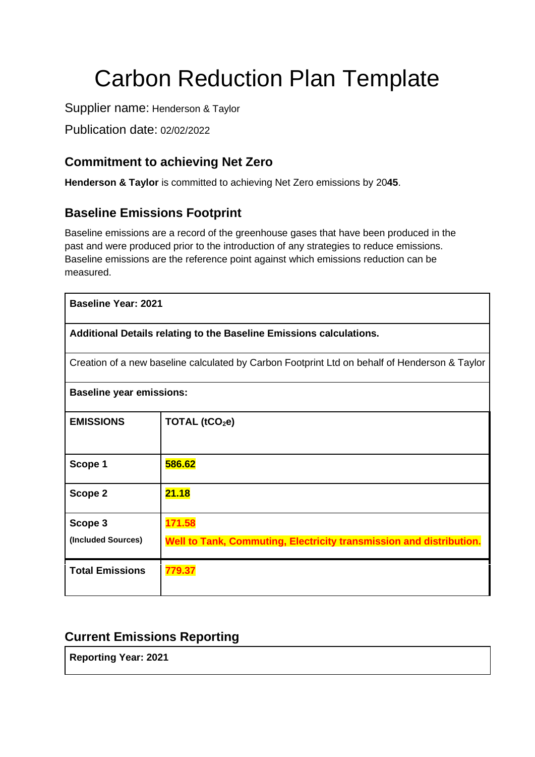# Carbon Reduction Plan Template

Supplier name: Henderson & Taylor

Publication date: 02/02/2022

# **Commitment to achieving Net Zero**

**Henderson & Taylor** is committed to achieving Net Zero emissions by 20**45**.

## **Baseline Emissions Footprint**

Baseline emissions are a record of the greenhouse gases that have been produced in the past and were produced prior to the introduction of any strategies to reduce emissions. Baseline emissions are the reference point against which emissions reduction can be measured.

| <b>Baseline Year: 2021</b>                                                                    |                                                                     |  |
|-----------------------------------------------------------------------------------------------|---------------------------------------------------------------------|--|
| Additional Details relating to the Baseline Emissions calculations.                           |                                                                     |  |
| Creation of a new baseline calculated by Carbon Footprint Ltd on behalf of Henderson & Taylor |                                                                     |  |
| <b>Baseline year emissions:</b>                                                               |                                                                     |  |
| <b>EMISSIONS</b>                                                                              | TOTAL (tCO <sub>2</sub> e)                                          |  |
| Scope 1                                                                                       | 586.62                                                              |  |
| Scope 2                                                                                       | 21.18                                                               |  |
| Scope 3                                                                                       | 171.58                                                              |  |
| (Included Sources)                                                                            | Well to Tank, Commuting, Electricity transmission and distribution. |  |
| <b>Total Emissions</b>                                                                        | 779.37                                                              |  |

## **Current Emissions Reporting**

**Reporting Year: 2021**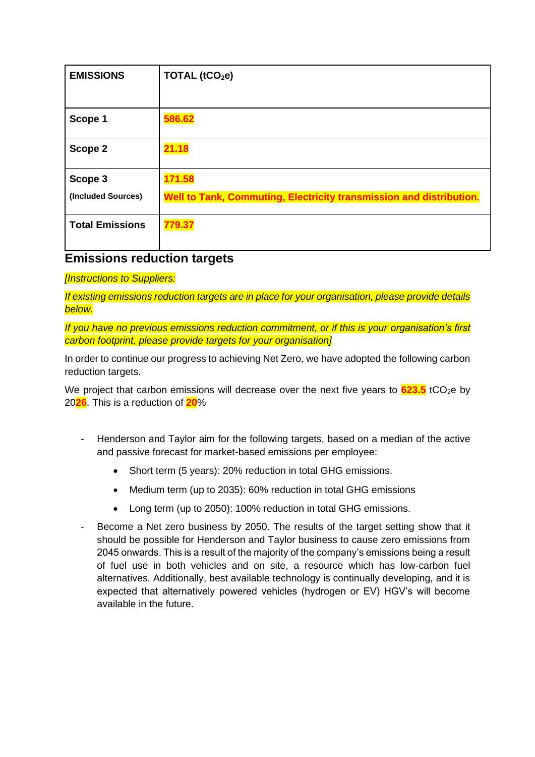| <b>EMISSIONS</b>              | TOTAL (tCO <sub>2</sub> e)                                                    |
|-------------------------------|-------------------------------------------------------------------------------|
| Scope 1                       | 586.62                                                                        |
| Scope 2                       | 21.18                                                                         |
| Scope 3<br>(Included Sources) | 171.58<br>Well to Tank, Commuting, Electricity transmission and distribution. |
| <b>Total Emissions</b>        | 779.37                                                                        |

## **Emissions reduction targets**

#### *[Instructions to Suppliers:*

*If existing emissions reduction targets are in place for your organisation, please provide details below.*

*If you have no previous emissions reduction commitment, or if this is your organisation's first carbon footprint, please provide targets for your organisation]*

In order to continue our progress to achieving Net Zero, we have adopted the following carbon reduction targets.

We project that carbon emissions will decrease over the next five years to  $623.5$  tCO<sub>2</sub>e by 20**26**. This is a reduction of **20**%

- Henderson and Taylor aim for the following targets, based on a median of the active and passive forecast for market-based emissions per employee:
	- Short term (5 years): 20% reduction in total GHG emissions.
	- Medium term (up to 2035): 60% reduction in total GHG emissions
	- Long term (up to 2050): 100% reduction in total GHG emissions.
- Become a Net zero business by 2050. The results of the target setting show that it should be possible for Henderson and Taylor business to cause zero emissions from 2045 onwards. This is a result of the majority of the company's emissions being a result of fuel use in both vehicles and on site, a resource which has low-carbon fuel alternatives. Additionally, best available technology is continually developing, and it is expected that alternatively powered vehicles (hydrogen or EV) HGV's will become available in the future.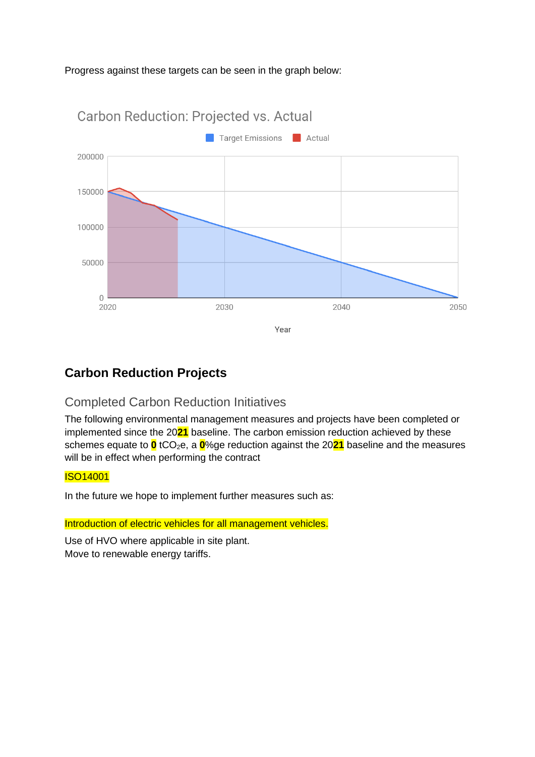#### Progress against these targets can be seen in the graph below:



# **Carbon Reduction Projects**

# Completed Carbon Reduction Initiatives

The following environmental management measures and projects have been completed or implemented since the 20**21** baseline. The carbon emission reduction achieved by these schemes equate to **0** tCO<sub>2</sub>e, a **0**%ge reduction against the 2021 baseline and the measures will be in effect when performing the contract

## ISO14001

In the future we hope to implement further measures such as:

Introduction of electric vehicles for all management vehicles.

Use of HVO where applicable in site plant. Move to renewable energy tariffs.